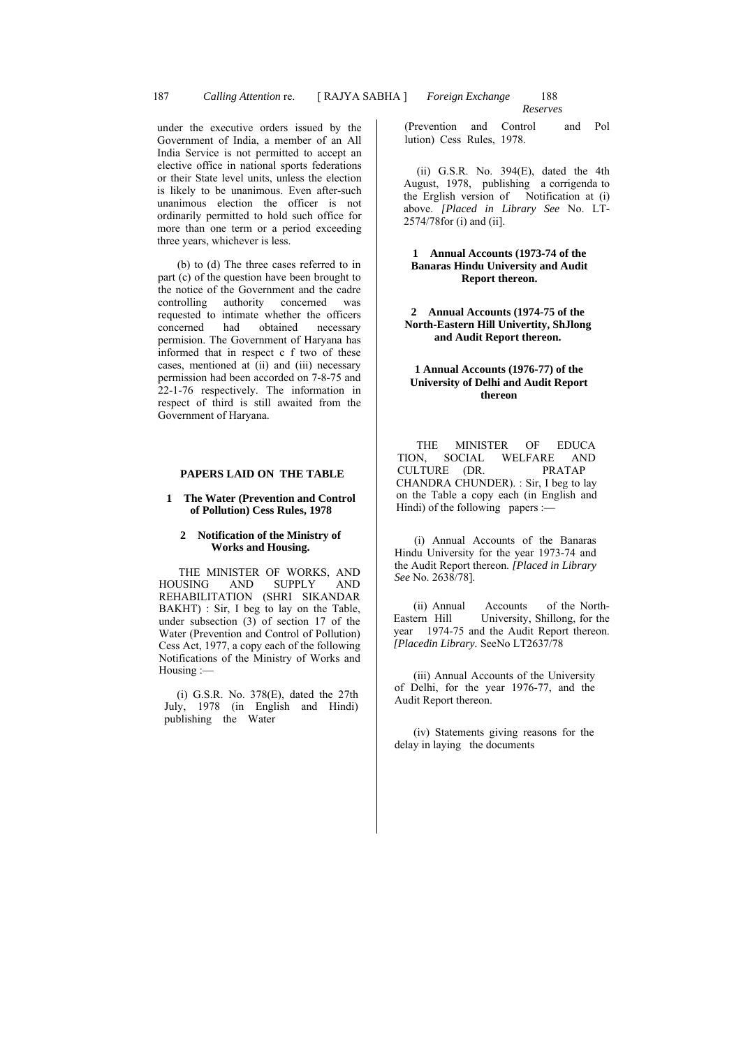under the executive orders issued by the Government of India, a member of an All India Service is not permitted to accept an elective office in national sports federations or their State level units, unless the election is likely to be unanimous. Even after-such unanimous election the officer is not ordinarily permitted to hold such office for more than one term or a period exceeding three years, whichever is less.

(b) to (d) The three cases referred to in part (c) of the question have been brought to the notice of the Government and the cadre<br>controlling authority concerned was controlling authority concerned was requested to intimate whether the officers<br>concerned had obtained necessary concerned had obtained permision. The Government of Haryana has informed that in respect c f two of these cases, mentioned at (ii) and (iii) necessary permission had been accorded on 7-8-75 and 22-1-76 respectively. The information in respect of third is still awaited from the Government of Haryana.

### **PAPERS LAID ON THE TABLE**

### **1 The Water (Prevention and Control of Pollution) Cess Rules, 1978**

#### **2 Notification of the Ministry of Works and Housing.**

THE MINISTER OF WORKS, AND<br>USING AND SUPPLY AND HOUSING AND SUPPLY AND REHABILITATION (SHRI SIKANDAR BAKHT) : Sir, I beg to lay on the Table, under subsection (3) of section 17 of the Water (Prevention and Control of Pollution) Cess Act, 1977, a copy each of the following Notifications of the Ministry of Works and Housing :—

 $(i)$  G.S.R. No. 378 $(E)$ , dated the 27th July, 1978 (in English and Hindi) publishing the Water

(Prevention and Control and Pol lution) Cess Rules, 1978.

(ii) G.S.R. No.  $394(E)$ , dated the 4th August, 1978, publishing a corrigenda to the Erglish version of Notification at (i) above. *[Placed in Library See* No. LT-2574/78for (i) and (ii].

# **1 Annual Accounts (1973-74 of the Banaras Hindu University and Audit Report thereon.**

**2 Annual Accounts (1974-75 of the North-Eastern Hill Univertity, ShJlong and Audit Report thereon.** 

### **1 Annual Accounts (1976-77) of the University of Delhi and Audit Report thereon**

THE MINISTER OF EDUCA TION, SOCIAL WELFARE AND CULTURE (DR. PRATAP CHANDRA CHUNDER). : Sir, I beg to lay on the Table a copy each (in English and Hindi) of the following papers :-

(i) Annual Accounts of the Banaras Hindu University for the year 1973-74 and the Audit Report thereon. *[Placed in Library See* No. 2638/78].

(ii) Annual Accounts of the North-<br>Eastern Hill University, Shillong, for the University, Shillong, for the year 1974-75 and the Audit Report thereon. *[Placedin Library.* SeeNo LT2637/78

(iii) Annual Accounts of the University of Delhi, for the year 1976-77, and the Audit Report thereon.

(iv) Statements giving reasons for the delay in laying the documents